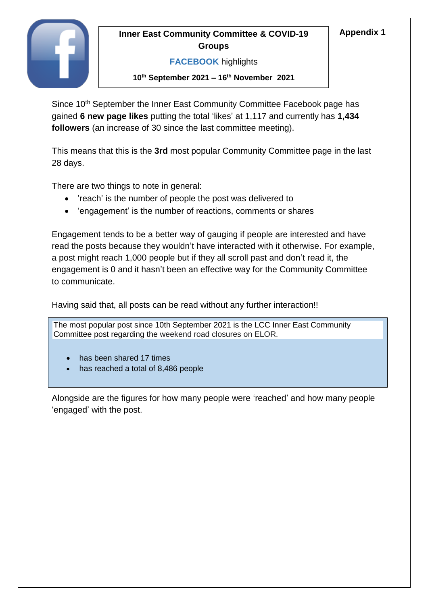# **Inner East Community Committee & COVID-19** Appendix 1 **Groups**



# **FACEBOOK** highlights

#### **10th September 2021 – 16 th November 2021**

Since 10<sup>th</sup> September the Inner East Community Committee Facebook page has gained **6 new page likes** putting the total 'likes' at 1,117 and currently has **1,434 followers** (an increase of 30 since the last committee meeting).

This means that this is the **3rd** most popular Community Committee page in the last 28 days.

There are two things to note in general:

- 'reach' is the number of people the post was delivered to
- 'engagement' is the number of reactions, comments or shares

Engagement tends to be a better way of gauging if people are interested and have read the posts because they wouldn't have interacted with it otherwise. For example, a post might reach 1,000 people but if they all scroll past and don't read it, the engagement is 0 and it hasn't been an effective way for the Community Committee to communicate.

Having said that, all posts can be read without any further interaction!!

The most popular post since 10th September 2021 is the LCC Inner East Community Committee post regarding the weekend road closures on ELOR.

- has been shared 17 times
- $T$  are screenshots of the most popular three popular three popular three posts since the  $T$  $\bullet$  has reached a total of 8,486 people

Alongside are the figures for how many people were 'reached' and how many people 'engaged' with the post.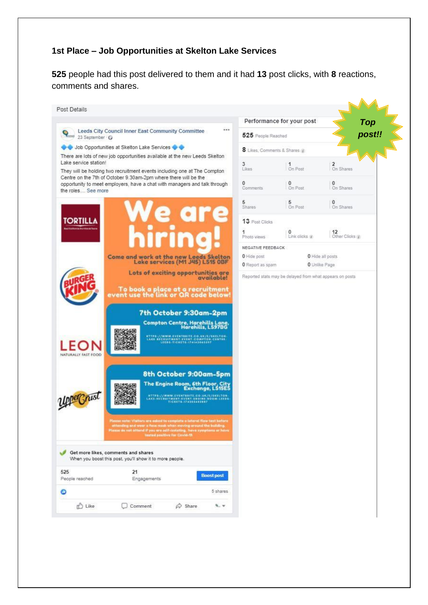#### **1st Place – Job Opportunities at Skelton Lake Services**

**525** people had this post delivered to them and it had **13** post clicks, with **8** reactions, comments and shares.

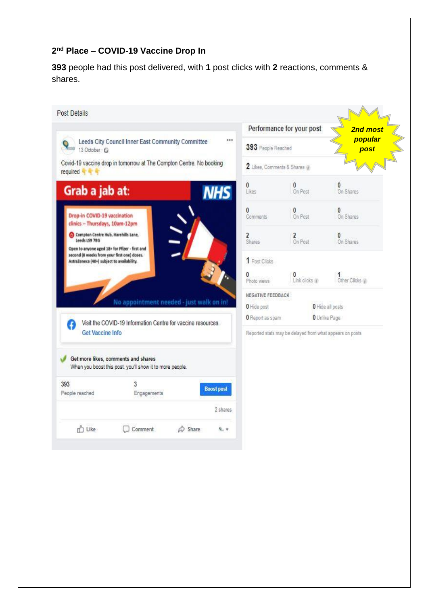## **2 nd Place – COVID-19 Vaccine Drop In**

**393** people had this post delivered, with **1** post clicks with **2** reactions, comments & shares.

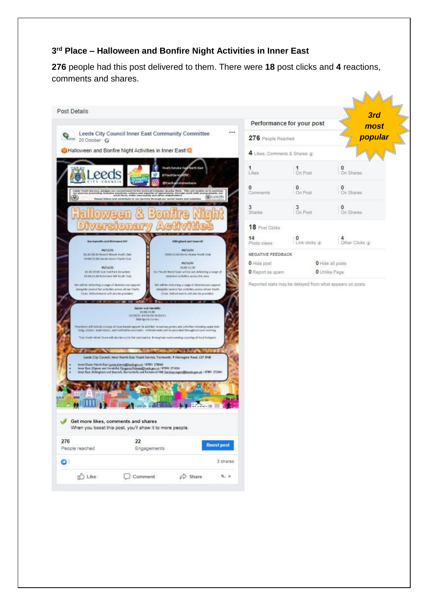#### **3 rd Place – Halloween and Bonfire Night Activities in Inner East**

**276** people had this post delivered to them. There were **18** post clicks and **4** reactions, comments and shares.